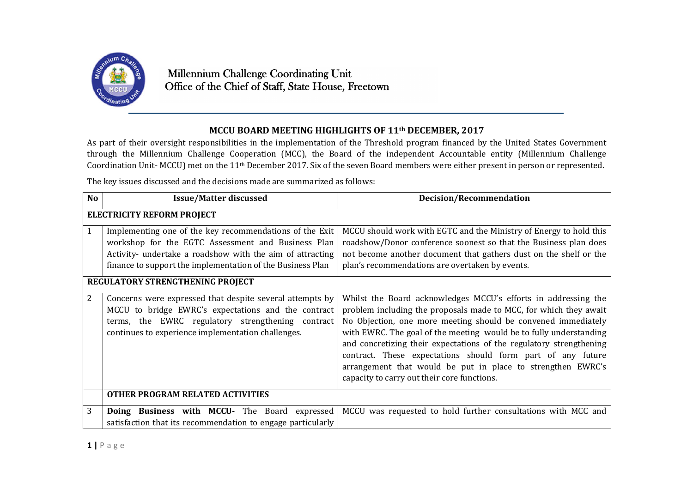

## **MCCU BOARD MEETING HIGHLIGHTS OF 11th DECEMBER, 2017**

As part of their oversight responsibilities in the implementation of the Threshold program financed by the United States Government through the Millennium Challenge Cooperation (MCC), the Board of the independent Accountable entity (Millennium Challenge Coordination Unit- MCCU) met on the 11th December 2017. Six of the seven Board members were either present in person or represented.

The key issues discussed and the decisions made are summarized as follows:

| <b>No</b>                         | <b>Issue/Matter discussed</b>                                                                                                                                                                                                            | <b>Decision/Recommendation</b>                                                                                                                                                                                                                                                                                                                                                                                                                                                                                                 |  |
|-----------------------------------|------------------------------------------------------------------------------------------------------------------------------------------------------------------------------------------------------------------------------------------|--------------------------------------------------------------------------------------------------------------------------------------------------------------------------------------------------------------------------------------------------------------------------------------------------------------------------------------------------------------------------------------------------------------------------------------------------------------------------------------------------------------------------------|--|
| <b>ELECTRICITY REFORM PROJECT</b> |                                                                                                                                                                                                                                          |                                                                                                                                                                                                                                                                                                                                                                                                                                                                                                                                |  |
| 1                                 | Implementing one of the key recommendations of the Exit<br>workshop for the EGTC Assessment and Business Plan<br>Activity- undertake a roadshow with the aim of attracting<br>finance to support the implementation of the Business Plan | MCCU should work with EGTC and the Ministry of Energy to hold this<br>roadshow/Donor conference soonest so that the Business plan does<br>not become another document that gathers dust on the shelf or the<br>plan's recommendations are overtaken by events.                                                                                                                                                                                                                                                                 |  |
| REGULATORY STRENGTHENING PROJECT  |                                                                                                                                                                                                                                          |                                                                                                                                                                                                                                                                                                                                                                                                                                                                                                                                |  |
| 2                                 | Concerns were expressed that despite several attempts by<br>MCCU to bridge EWRC's expectations and the contract<br>terms, the EWRC regulatory strengthening contract<br>continues to experience implementation challenges.               | Whilst the Board acknowledges MCCU's efforts in addressing the<br>problem including the proposals made to MCC, for which they await<br>No Objection, one more meeting should be convened immediately<br>with EWRC. The goal of the meeting would be to fully understanding<br>and concretizing their expectations of the regulatory strengthening<br>contract. These expectations should form part of any future<br>arrangement that would be put in place to strengthen EWRC's<br>capacity to carry out their core functions. |  |
|                                   | OTHER PROGRAM RELATED ACTIVITIES                                                                                                                                                                                                         |                                                                                                                                                                                                                                                                                                                                                                                                                                                                                                                                |  |
| 3                                 | Doing Business with MCCU- The Board expressed<br>satisfaction that its recommendation to engage particularly                                                                                                                             | MCCU was requested to hold further consultations with MCC and                                                                                                                                                                                                                                                                                                                                                                                                                                                                  |  |